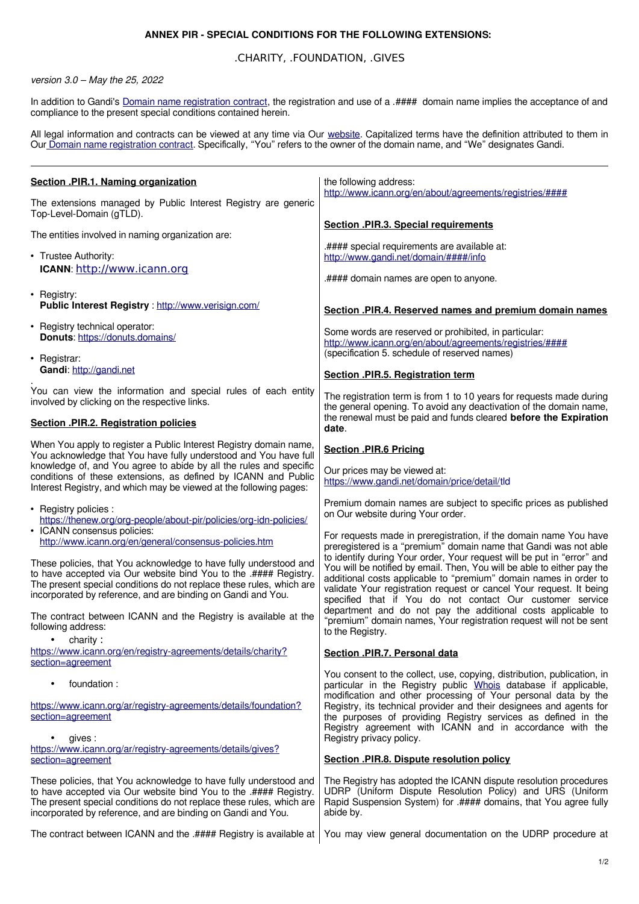## **ANNEX PIR - SPECIAL CONDITIONS FOR THE FOLLOWING EXTENSIONS:**

## .CHARITY, .FOUNDATION, .GIVES

## version 3.0 – May the 25, 2022

In addition to Gandi's [Domain name registration contract](https://www.gandi.net/en/contracts/terms-of-service), the registration and use of a .#### domain name implies the acceptance of and compliance to the present special conditions contained herein.

All legal information and contracts can be viewed at any time via Our [website.](https://www.gandi.net/en) Capitalized terms have the definition attributed to them in Our [Domain name registration contract](https://www.gandi.net/en/contracts/terms-of-service). Specifically, "You" refers to the owner of the domain name, and "We" designates Gandi.

| Section .PIR.1. Naming organization                                                                                                                                                                                                                                                                                                                  | the following address:<br>http://www.icann.org/en/about/agreements/registries/####                                                                                                                                                                                                                                                                                                                                         |
|------------------------------------------------------------------------------------------------------------------------------------------------------------------------------------------------------------------------------------------------------------------------------------------------------------------------------------------------------|----------------------------------------------------------------------------------------------------------------------------------------------------------------------------------------------------------------------------------------------------------------------------------------------------------------------------------------------------------------------------------------------------------------------------|
| The extensions managed by Public Interest Registry are generic<br>Top-Level-Domain (gTLD).                                                                                                                                                                                                                                                           |                                                                                                                                                                                                                                                                                                                                                                                                                            |
| The entities involved in naming organization are:                                                                                                                                                                                                                                                                                                    | <b>Section .PIR.3. Special requirements</b>                                                                                                                                                                                                                                                                                                                                                                                |
| • Trustee Authority:<br>ICANN: http://www.icann.org                                                                                                                                                                                                                                                                                                  | .#### special requirements are available at:<br>http://www.gandi.net/domain/####/info                                                                                                                                                                                                                                                                                                                                      |
| • Registry:<br>Public Interest Registry: http://www.verisign.com/                                                                                                                                                                                                                                                                                    | .#### domain names are open to anyone.<br>Section .PIR.4. Reserved names and premium domain names                                                                                                                                                                                                                                                                                                                          |
| • Registry technical operator:<br>Donuts: https://donuts.domains/                                                                                                                                                                                                                                                                                    | Some words are reserved or prohibited, in particular:<br>http://www.icann.org/en/about/agreements/registries/####<br>(specification 5. schedule of reserved names)                                                                                                                                                                                                                                                         |
| • Registrar:<br>Gandi: http://gandi.net                                                                                                                                                                                                                                                                                                              | Section .PIR.5. Registration term                                                                                                                                                                                                                                                                                                                                                                                          |
| You can view the information and special rules of each entity<br>involved by clicking on the respective links.                                                                                                                                                                                                                                       | The registration term is from 1 to 10 years for requests made during<br>the general opening. To avoid any deactivation of the domain name,<br>the renewal must be paid and funds cleared before the Expiration                                                                                                                                                                                                             |
| Section .PIR.2. Registration policies                                                                                                                                                                                                                                                                                                                | date.                                                                                                                                                                                                                                                                                                                                                                                                                      |
| When You apply to register a Public Interest Registry domain name,<br>You acknowledge that You have fully understood and You have full<br>knowledge of, and You agree to abide by all the rules and specific<br>conditions of these extensions, as defined by ICANN and Public<br>Interest Registry, and which may be viewed at the following pages: | <b>Section .PIR.6 Pricing</b><br>Our prices may be viewed at:<br>https://www.gandi.net/domain/price/detail/tld                                                                                                                                                                                                                                                                                                             |
| • Registry policies :<br>https://thenew.org/org-people/about-pir/policies/org-idn-policies/<br>• ICANN consensus policies:<br>http://www.icann.org/en/general/consensus-policies.htm                                                                                                                                                                 | Premium domain names are subject to specific prices as published<br>on Our website during Your order.<br>For requests made in preregistration, if the domain name You have<br>preregistered is a "premium" domain name that Gandi was not able                                                                                                                                                                             |
| These policies, that You acknowledge to have fully understood and<br>to have accepted via Our website bind You to the .#### Registry.<br>The present special conditions do not replace these rules, which are<br>incorporated by reference, and are binding on Gandi and You.                                                                        | to identify during Your order, Your request will be put in "error" and<br>You will be notified by email. Then, You will be able to either pay the<br>additional costs applicable to "premium" domain names in order to<br>validate Your registration request or cancel Your request. It being<br>specified that if You do not contact Our customer service<br>department and do not pay the additional costs applicable to |
| The contract between ICANN and the Registry is available at the<br>following address:<br>charity:                                                                                                                                                                                                                                                    | "premium" domain names, Your registration request will not be sent<br>to the Registry.                                                                                                                                                                                                                                                                                                                                     |
| https://www.icann.org/en/registry-agreements/details/charity?<br>section=agreement                                                                                                                                                                                                                                                                   | Section .PIR.7. Personal data                                                                                                                                                                                                                                                                                                                                                                                              |
| foundation :                                                                                                                                                                                                                                                                                                                                         | You consent to the collect, use, copying, distribution, publication, in<br>particular in the Registry public Whois database if applicable,<br>modification and other processing of Your personal data by the                                                                                                                                                                                                               |
| https://www.icann.org/ar/registry-agreements/details/foundation?<br>section=agreement                                                                                                                                                                                                                                                                | Registry, its technical provider and their designees and agents for<br>the purposes of providing Registry services as defined in the<br>Registry agreement with ICANN and in accordance with the<br>Registry privacy policy.                                                                                                                                                                                               |
| gives:<br>https://www.icann.org/ar/registry-agreements/details/gives?<br>section=agreement                                                                                                                                                                                                                                                           | Section .PIR.8. Dispute resolution policy                                                                                                                                                                                                                                                                                                                                                                                  |
| These policies, that You acknowledge to have fully understood and<br>to have accepted via Our website bind You to the .#### Registry.<br>The present special conditions do not replace these rules, which are<br>incorporated by reference, and are binding on Gandi and You.                                                                        | The Registry has adopted the ICANN dispute resolution procedures<br>UDRP (Uniform Dispute Resolution Policy) and URS (Uniform<br>Rapid Suspension System) for .#### domains, that You agree fully<br>abide by.                                                                                                                                                                                                             |

The contract between ICANN and the .#### Registry is available at | You may view general documentation on the UDRP procedure at